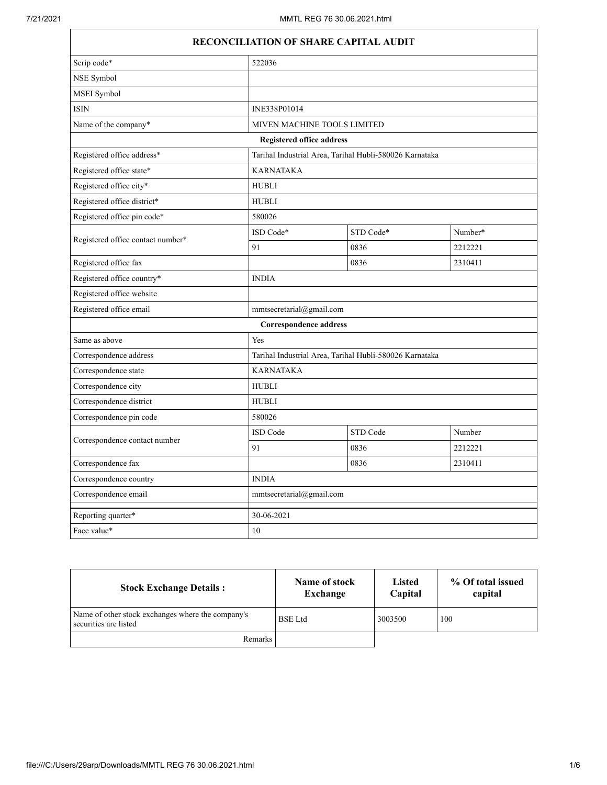$\Gamma$ 

| RECONCILIATION OF SHARE CAPITAL AUDIT |                                  |                                                         |         |  |
|---------------------------------------|----------------------------------|---------------------------------------------------------|---------|--|
| Scrip code*                           | 522036                           |                                                         |         |  |
| NSE Symbol                            |                                  |                                                         |         |  |
| MSEI Symbol                           |                                  |                                                         |         |  |
| <b>ISIN</b>                           | INE338P01014                     |                                                         |         |  |
| Name of the company*                  |                                  | MIVEN MACHINE TOOLS LIMITED                             |         |  |
|                                       | <b>Registered office address</b> |                                                         |         |  |
| Registered office address*            |                                  | Tarihal Industrial Area, Tarihal Hubli-580026 Karnataka |         |  |
| Registered office state*              | KARNATAKA                        |                                                         |         |  |
| Registered office city*               | <b>HUBLI</b>                     |                                                         |         |  |
| Registered office district*           | <b>HUBLI</b>                     |                                                         |         |  |
| Registered office pin code*           | 580026                           |                                                         |         |  |
|                                       | ISD Code*                        | STD Code*                                               | Number* |  |
| Registered office contact number*     | 91                               | 0836                                                    | 2212221 |  |
| Registered office fax                 |                                  | 0836                                                    | 2310411 |  |
| Registered office country*            | <b>INDIA</b>                     |                                                         |         |  |
| Registered office website             |                                  |                                                         |         |  |
| Registered office email               | mmtsecretarial@gmail.com         |                                                         |         |  |
|                                       | <b>Correspondence address</b>    |                                                         |         |  |
| Same as above                         | Yes                              |                                                         |         |  |
| Correspondence address                |                                  | Tarihal Industrial Area, Tarihal Hubli-580026 Karnataka |         |  |
| Correspondence state                  | <b>KARNATAKA</b>                 |                                                         |         |  |
| Correspondence city                   | <b>HUBLI</b>                     |                                                         |         |  |
| Correspondence district               | <b>HUBLI</b>                     |                                                         |         |  |
| Correspondence pin code               | 580026                           |                                                         |         |  |
| Correspondence contact number         | ISD Code                         | STD Code                                                | Number  |  |
|                                       | 91                               | 0836                                                    | 2212221 |  |
| Correspondence fax                    |                                  | 0836                                                    | 2310411 |  |
| Correspondence country                | <b>INDIA</b>                     |                                                         |         |  |
| Correspondence email                  |                                  | mmtsecretarial@gmail.com                                |         |  |
| Reporting quarter*                    | 30-06-2021                       |                                                         |         |  |
| Face value*                           | 10                               |                                                         |         |  |

| <b>Stock Exchange Details:</b>                                             | Name of stock<br>Exchange | <b>Listed</b><br>Capital | % Of total issued<br>capital |
|----------------------------------------------------------------------------|---------------------------|--------------------------|------------------------------|
| Name of other stock exchanges where the company's<br>securities are listed | <b>BSE</b> Ltd            | 3003500                  | 100                          |
| <b>Remarks</b>                                                             |                           |                          |                              |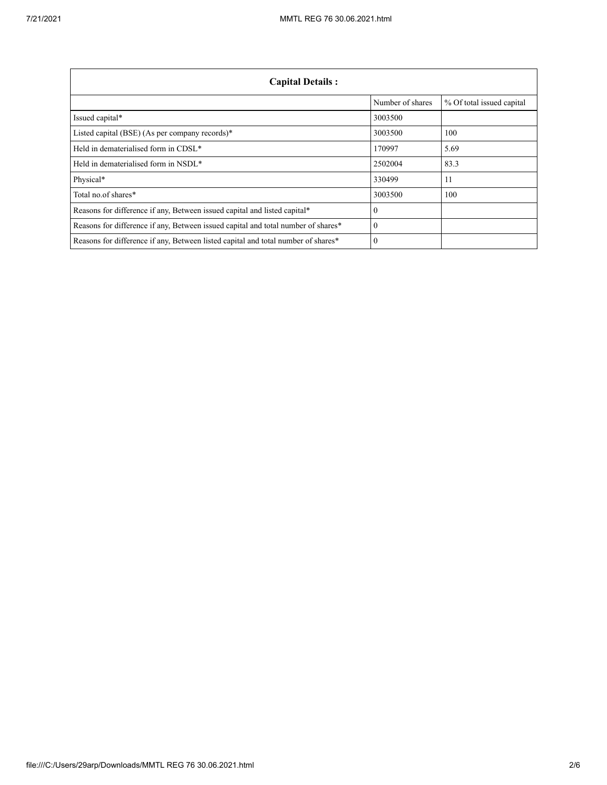| <b>Capital Details:</b>                                                           |                  |                           |
|-----------------------------------------------------------------------------------|------------------|---------------------------|
|                                                                                   | Number of shares | % Of total issued capital |
| Issued capital*                                                                   | 3003500          |                           |
| Listed capital (BSE) (As per company records)*                                    | 3003500          | 100                       |
| Held in dematerialised form in CDSL*                                              | 170997           | 5.69                      |
| Held in dematerialised form in NSDL*                                              | 2502004          | 83.3                      |
| Physical*                                                                         | 330499           | 11                        |
| Total no.of shares*                                                               | 3003500          | 100                       |
| Reasons for difference if any, Between issued capital and listed capital*         |                  |                           |
| Reasons for difference if any, Between issued capital and total number of shares* |                  |                           |
| Reasons for difference if any, Between listed capital and total number of shares* |                  |                           |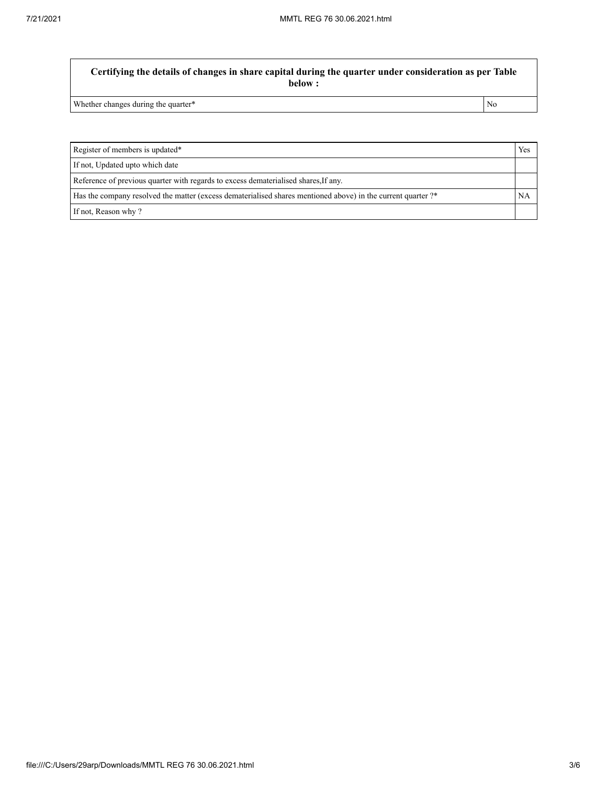**Certifying the details of changes in share capital during the quarter under consideration as per Table below :**

Whether changes during the quarter\* No

Register of members is updated\* Yes If not, Updated upto which date Reference of previous quarter with regards to excess dematerialised shares,If any. Has the company resolved the matter (excess dematerialised shares mentioned above) in the current quarter ?\* NA If not, Reason why ?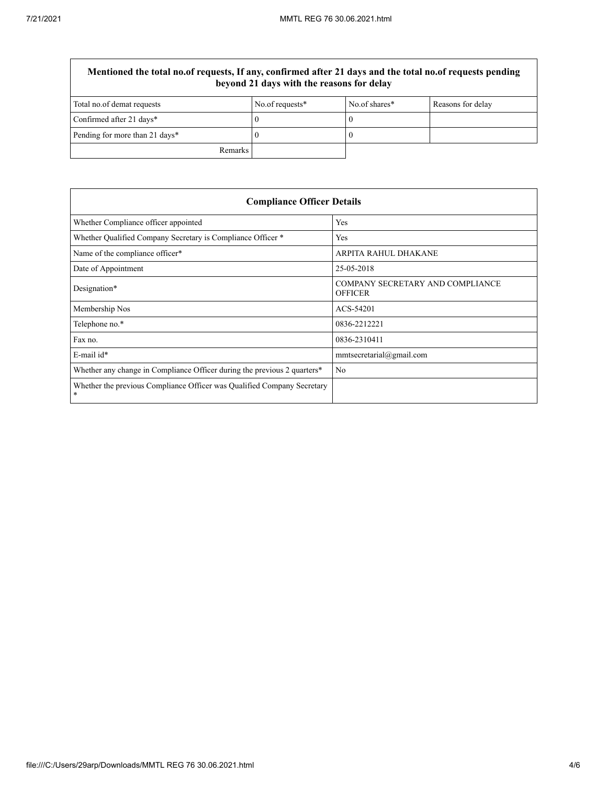$\overline{\Gamma}$ 

| Mentioned the total no.of requests, If any, confirmed after 21 days and the total no.of requests pending<br>beyond 21 days with the reasons for delay |                 |               |                   |
|-------------------------------------------------------------------------------------------------------------------------------------------------------|-----------------|---------------|-------------------|
| Total no.of demat requests                                                                                                                            | No.of requests* | No.of shares* | Reasons for delay |
| Confirmed after 21 days*                                                                                                                              |                 |               |                   |
| Pending for more than 21 days*                                                                                                                        |                 |               |                   |
| Remarks                                                                                                                                               |                 |               |                   |

| <b>Compliance Officer Details</b>                                                    |                                                    |  |
|--------------------------------------------------------------------------------------|----------------------------------------------------|--|
| Whether Compliance officer appointed                                                 | Yes                                                |  |
| Whether Qualified Company Secretary is Compliance Officer *                          | Yes                                                |  |
| Name of the compliance officer*                                                      | ARPITA RAHUL DHAKANE                               |  |
| Date of Appointment                                                                  | 25-05-2018                                         |  |
| Designation*                                                                         | COMPANY SECRETARY AND COMPLIANCE<br><b>OFFICER</b> |  |
| Membership Nos                                                                       | ACS-54201                                          |  |
| Telephone no.*                                                                       | 0836-2212221                                       |  |
| Fax no.                                                                              | 0836-2310411                                       |  |
| $E$ -mail id*                                                                        | mmtsecretarial@gmail.com                           |  |
| Whether any change in Compliance Officer during the previous 2 quarters <sup>*</sup> | No                                                 |  |
| Whether the previous Compliance Officer was Qualified Company Secretary<br>*         |                                                    |  |

٦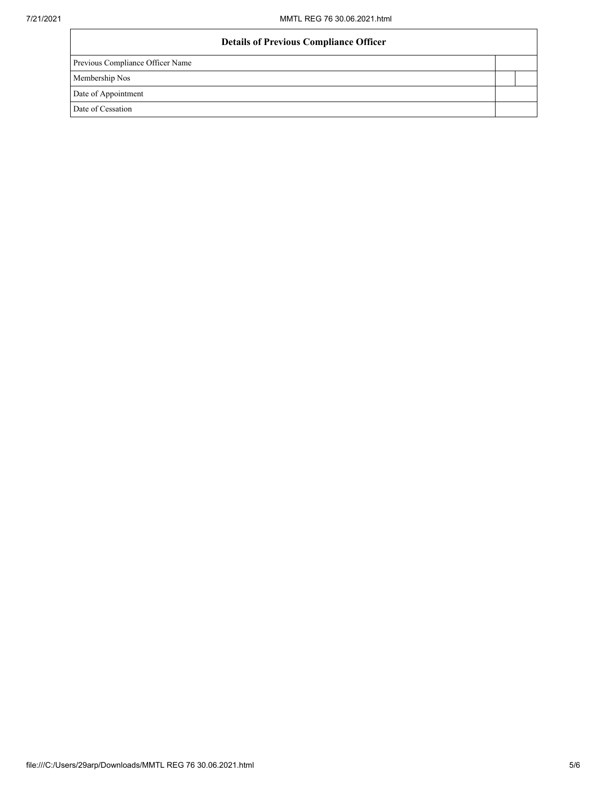| <b>Details of Previous Compliance Officer</b> |  |
|-----------------------------------------------|--|
| Previous Compliance Officer Name              |  |
| Membership Nos                                |  |
| Date of Appointment                           |  |
| Date of Cessation                             |  |